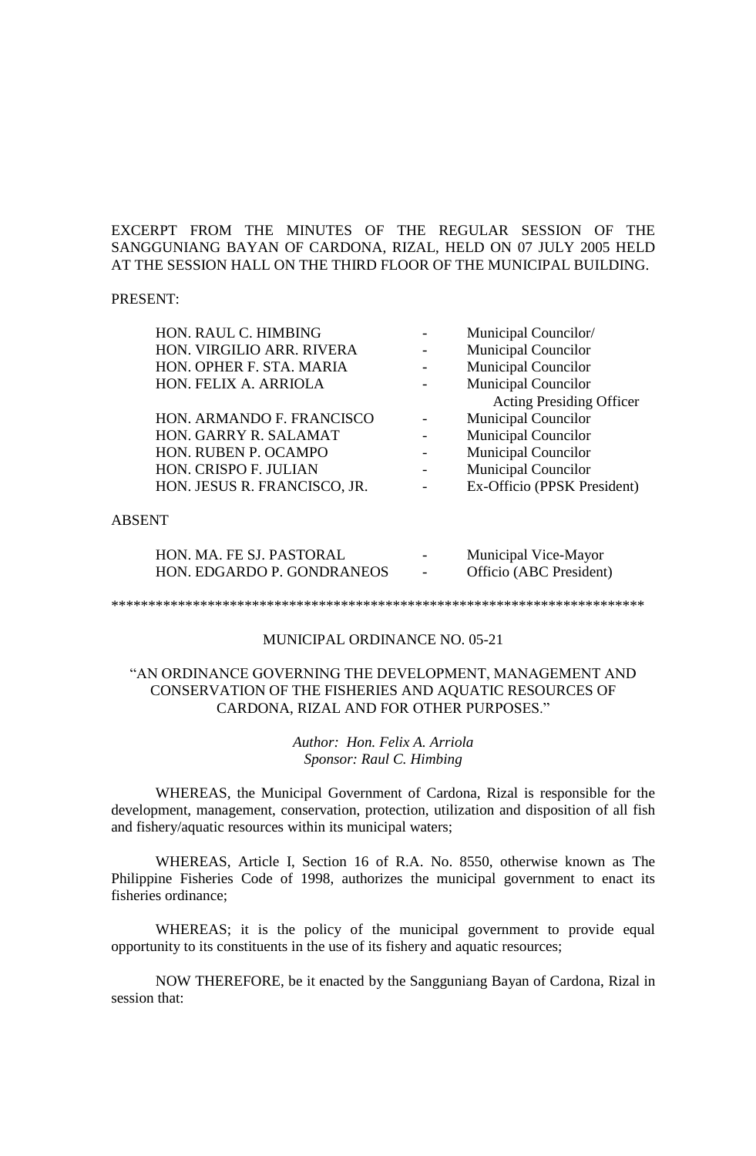# EXCERPT FROM THE MINUTES OF THE REGULAR SESSION OF THE SANGGUNIANG BAYAN OF CARDONA, RIZAL, HELD ON 07 JULY 2005 HELD AT THE SESSION HALL ON THE THIRD FLOOR OF THE MUNICIPAL BUILDING.

#### PRESENT:

| HON. RAUL C. HIMBING         | Municipal Councilor/            |
|------------------------------|---------------------------------|
| HON. VIRGILIO ARR. RIVERA    | <b>Municipal Councilor</b>      |
| HON. OPHER F. STA. MARIA     | <b>Municipal Councilor</b>      |
| HON. FELIX A. ARRIOLA        | <b>Municipal Councilor</b>      |
|                              | <b>Acting Presiding Officer</b> |
| HON. ARMANDO F. FRANCISCO    | <b>Municipal Councilor</b>      |
| HON. GARRY R. SALAMAT        | <b>Municipal Councilor</b>      |
| HON. RUBEN P. OCAMPO         | <b>Municipal Councilor</b>      |
| HON. CRISPO F. JULIAN        | <b>Municipal Councilor</b>      |
| HON. JESUS R. FRANCISCO, JR. | Ex-Officio (PPSK President)     |
|                              |                                 |
| 'NT                          |                                 |

### ABSENT

| HON. MA. FE SJ. PASTORAL   | $\overline{\phantom{0}}$ | Municipal Vice-Mayor    |
|----------------------------|--------------------------|-------------------------|
| HON. EDGARDO P. GONDRANEOS |                          | Officio (ABC President) |

\*\*\*\*\*\*\*\*\*\*\*\*\*\*\*\*\*\*\*\*\*\*\*\*\*\*\*\*\*\*\*\*\*\*\*\*\*\*\*\*\*\*\*\*\*\*\*\*\*\*\*\*\*\*\*\*\*\*\*\*\*\*\*\*\*\*\*\*\*\*\*\*

#### MUNICIPAL ORDINANCE NO. 05-21

# "AN ORDINANCE GOVERNING THE DEVELOPMENT, MANAGEMENT AND CONSERVATION OF THE FISHERIES AND AQUATIC RESOURCES OF CARDONA, RIZAL AND FOR OTHER PURPOSES."

# *Author: Hon. Felix A. Arriola Sponsor: Raul C. Himbing*

WHEREAS, the Municipal Government of Cardona, Rizal is responsible for the development, management, conservation, protection, utilization and disposition of all fish and fishery/aquatic resources within its municipal waters;

WHEREAS, Article I, Section 16 of R.A. No. 8550, otherwise known as The Philippine Fisheries Code of 1998, authorizes the municipal government to enact its fisheries ordinance;

WHEREAS; it is the policy of the municipal government to provide equal opportunity to its constituents in the use of its fishery and aquatic resources;

NOW THEREFORE, be it enacted by the Sangguniang Bayan of Cardona, Rizal in session that: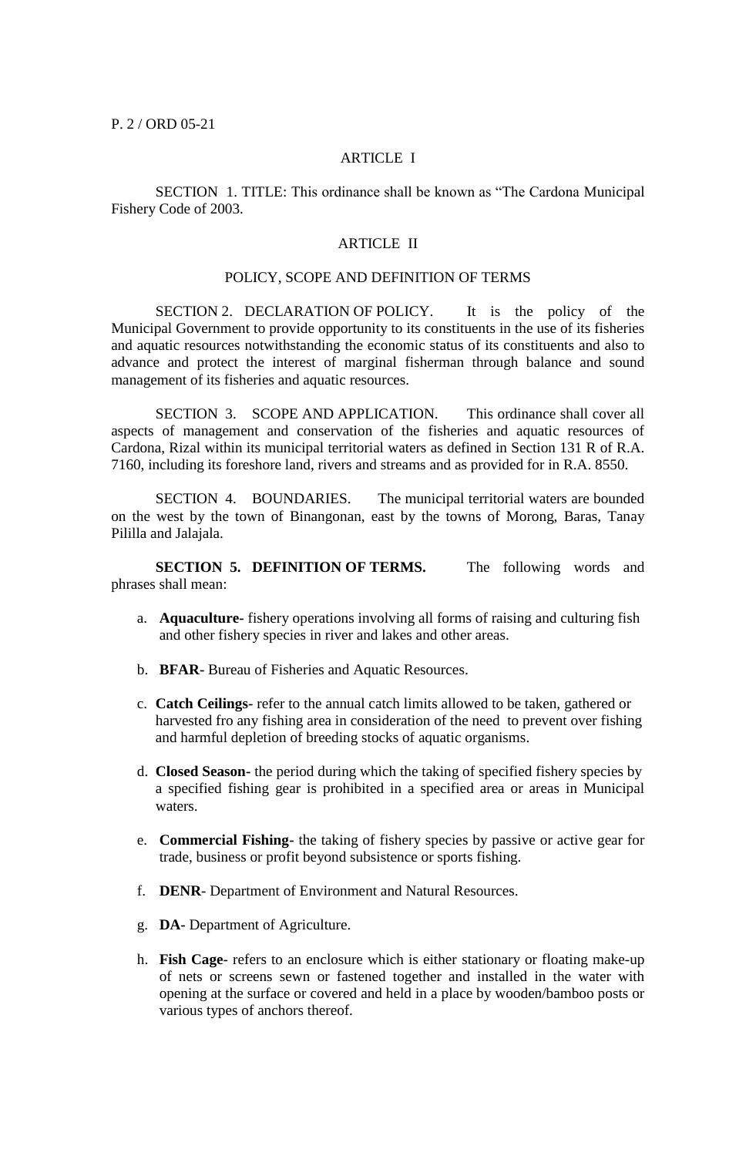P. 2 / ORD 05-21

# ARTICLE I

SECTION 1. TITLE: This ordinance shall be known as "The Cardona Municipal Fishery Code of 2003.

# ARTICLE II

### POLICY, SCOPE AND DEFINITION OF TERMS

SECTION 2. DECLARATION OF POLICY. It is the policy of the Municipal Government to provide opportunity to its constituents in the use of its fisheries and aquatic resources notwithstanding the economic status of its constituents and also to advance and protect the interest of marginal fisherman through balance and sound management of its fisheries and aquatic resources.

SECTION 3. SCOPE AND APPLICATION. This ordinance shall cover all aspects of management and conservation of the fisheries and aquatic resources of Cardona, Rizal within its municipal territorial waters as defined in Section 131 R of R.A. 7160, including its foreshore land, rivers and streams and as provided for in R.A. 8550.

SECTION 4. BOUNDARIES. The municipal territorial waters are bounded on the west by the town of Binangonan, east by the towns of Morong, Baras, Tanay Pililla and Jalajala.

**SECTION 5. DEFINITION OF TERMS.** The following words and phrases shall mean:

- a. **Aquaculture-** fishery operations involving all forms of raising and culturing fish and other fishery species in river and lakes and other areas.
- b. **BFAR-** Bureau of Fisheries and Aquatic Resources.
- c. **Catch Ceilings-** refer to the annual catch limits allowed to be taken, gathered or harvested fro any fishing area in consideration of the need to prevent over fishing and harmful depletion of breeding stocks of aquatic organisms.
- d. **Closed Season-** the period during which the taking of specified fishery species by a specified fishing gear is prohibited in a specified area or areas in Municipal waters.
- e. **Commercial Fishing-** the taking of fishery species by passive or active gear for trade, business or profit beyond subsistence or sports fishing.
- f. **DENR-** Department of Environment and Natural Resources.
- g. **DA-** Department of Agriculture.
- h. **Fish Cage-** refers to an enclosure which is either stationary or floating make-up of nets or screens sewn or fastened together and installed in the water with opening at the surface or covered and held in a place by wooden/bamboo posts or various types of anchors thereof.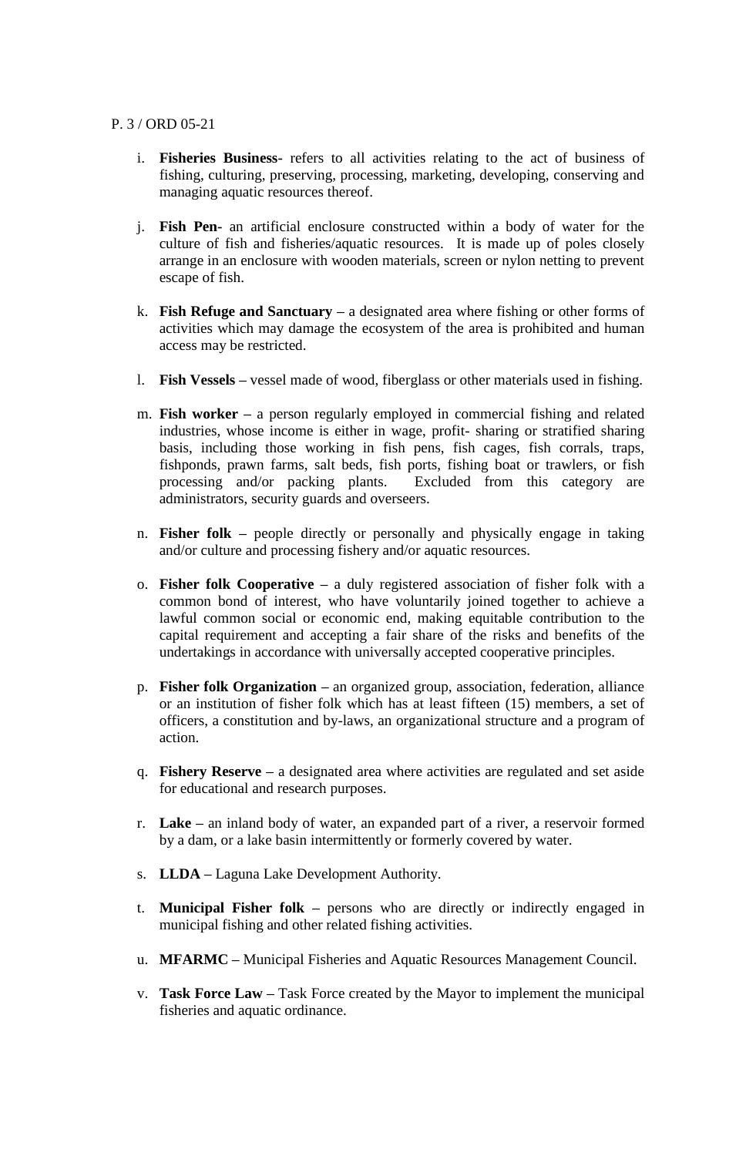# P. 3 / ORD 05-21

- i. **Fisheries Business-** refers to all activities relating to the act of business of fishing, culturing, preserving, processing, marketing, developing, conserving and managing aquatic resources thereof.
- j. **Fish Pen-** an artificial enclosure constructed within a body of water for the culture of fish and fisheries/aquatic resources. It is made up of poles closely arrange in an enclosure with wooden materials, screen or nylon netting to prevent escape of fish.
- k. **Fish Refuge and Sanctuary –** a designated area where fishing or other forms of activities which may damage the ecosystem of the area is prohibited and human access may be restricted.
- l. **Fish Vessels –** vessel made of wood, fiberglass or other materials used in fishing.
- m. **Fish worker –** a person regularly employed in commercial fishing and related industries, whose income is either in wage, profit- sharing or stratified sharing basis, including those working in fish pens, fish cages, fish corrals, traps, fishponds, prawn farms, salt beds, fish ports, fishing boat or trawlers, or fish processing and/or packing plants. Excluded from this category are administrators, security guards and overseers.
- n. **Fisher folk –** people directly or personally and physically engage in taking and/or culture and processing fishery and/or aquatic resources.
- o. **Fisher folk Cooperative –** a duly registered association of fisher folk with a common bond of interest, who have voluntarily joined together to achieve a lawful common social or economic end, making equitable contribution to the capital requirement and accepting a fair share of the risks and benefits of the undertakings in accordance with universally accepted cooperative principles.
- p. **Fisher folk Organization –** an organized group, association, federation, alliance or an institution of fisher folk which has at least fifteen (15) members, a set of officers, a constitution and by-laws, an organizational structure and a program of action.
- q. **Fishery Reserve –** a designated area where activities are regulated and set aside for educational and research purposes.
- r. **Lake –** an inland body of water, an expanded part of a river, a reservoir formed by a dam, or a lake basin intermittently or formerly covered by water.
- s. **LLDA –** Laguna Lake Development Authority.
- t. **Municipal Fisher folk –** persons who are directly or indirectly engaged in municipal fishing and other related fishing activities.
- u. **MFARMC –** Municipal Fisheries and Aquatic Resources Management Council.
- v. **Task Force Law –** Task Force created by the Mayor to implement the municipal fisheries and aquatic ordinance.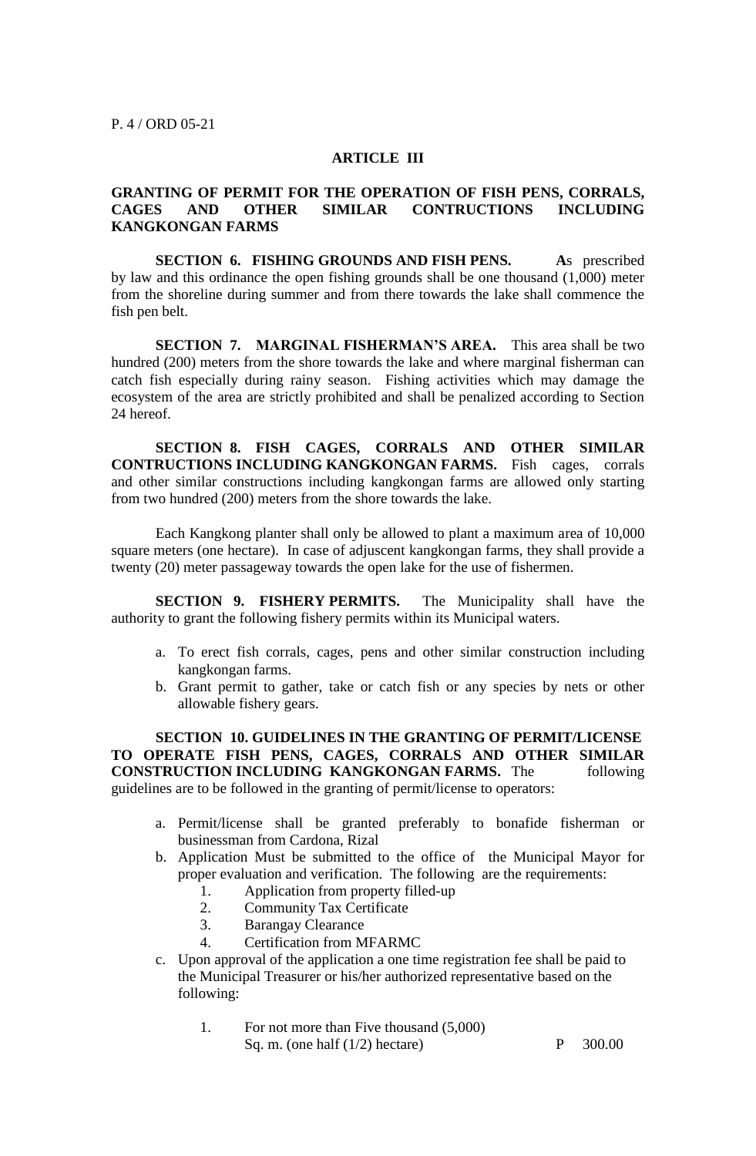#### **ARTICLE III**

# **GRANTING OF PERMIT FOR THE OPERATION OF FISH PENS, CORRALS, CAGES AND OTHER SIMILAR CONTRUCTIONS INCLUDING KANGKONGAN FARMS**

**SECTION 6. FISHING GROUNDS AND FISH PENS. A**s prescribed by law and this ordinance the open fishing grounds shall be one thousand (1,000) meter from the shoreline during summer and from there towards the lake shall commence the fish pen belt.

**SECTION 7. MARGINAL FISHERMAN'S AREA.** This area shall be two hundred (200) meters from the shore towards the lake and where marginal fisherman can catch fish especially during rainy season. Fishing activities which may damage the ecosystem of the area are strictly prohibited and shall be penalized according to Section 24 hereof.

**SECTION 8. FISH CAGES, CORRALS AND OTHER SIMILAR CONTRUCTIONS INCLUDING KANGKONGAN FARMS.** Fish cages, corrals and other similar constructions including kangkongan farms are allowed only starting from two hundred (200) meters from the shore towards the lake.

Each Kangkong planter shall only be allowed to plant a maximum area of 10,000 square meters (one hectare). In case of adjuscent kangkongan farms, they shall provide a twenty (20) meter passageway towards the open lake for the use of fishermen.

**SECTION 9. FISHERY PERMITS.** The Municipality shall have the authority to grant the following fishery permits within its Municipal waters.

- a. To erect fish corrals, cages, pens and other similar construction including kangkongan farms.
- b. Grant permit to gather, take or catch fish or any species by nets or other allowable fishery gears.

**SECTION 10. GUIDELINES IN THE GRANTING OF PERMIT/LICENSE TO OPERATE FISH PENS, CAGES, CORRALS AND OTHER SIMILAR CONSTRUCTION INCLUDING KANGKONGAN FARMS.** The following guidelines are to be followed in the granting of permit/license to operators:

- a. Permit/license shall be granted preferably to bonafide fisherman or businessman from Cardona, Rizal
- b. Application Must be submitted to the office of the Municipal Mayor for proper evaluation and verification. The following are the requirements:
	- 1. Application from property filled-up
	- 2. Community Tax Certificate
	- 3. Barangay Clearance
	- 4. Certification from MFARMC
- c. Upon approval of the application a one time registration fee shall be paid to the Municipal Treasurer or his/her authorized representative based on the following:
	- 1. For not more than Five thousand (5,000) Sq. m. (one half  $(1/2)$  hectare) P 300.00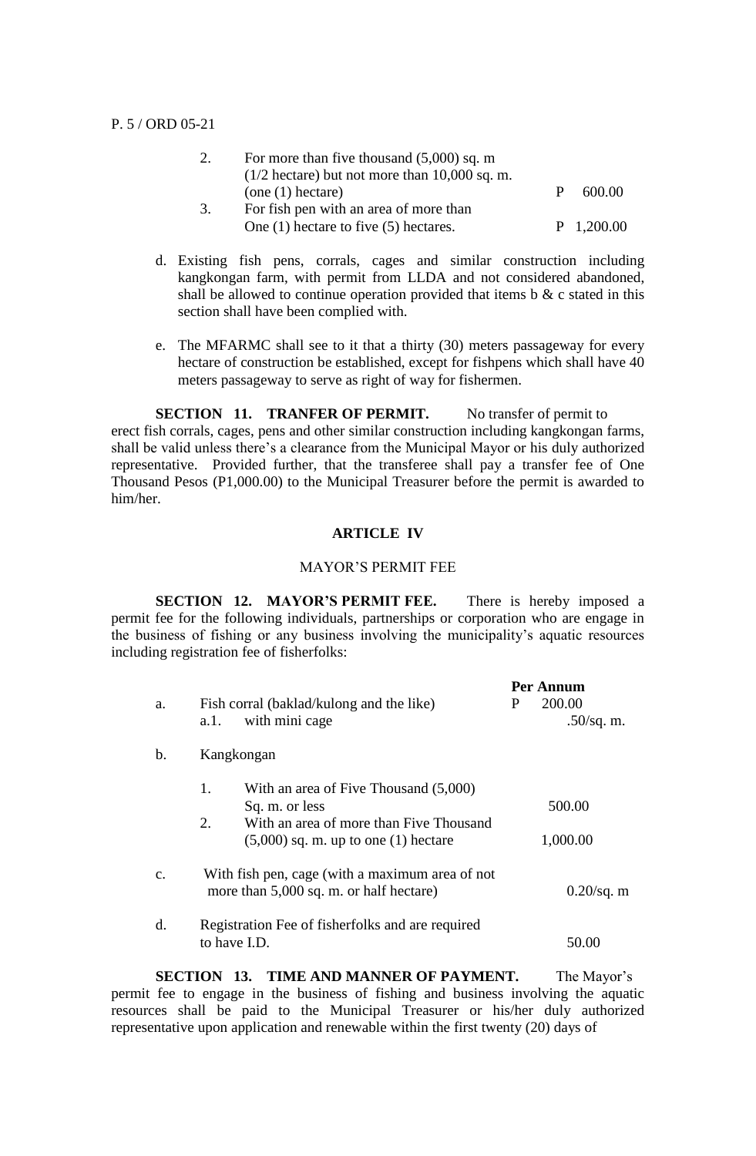|    | For more than five thousand $(5,000)$ sq. m               |   |              |
|----|-----------------------------------------------------------|---|--------------|
|    | $(1/2 \text{ hectare})$ but not more than $10,000$ sq. m. |   |              |
|    | (one (1) hectare)                                         | P | 600.00       |
| 3. | For fish pen with an area of more than                    |   |              |
|    | One $(1)$ hectare to five $(5)$ hectares.                 |   | $P$ 1,200.00 |

- d. Existing fish pens, corrals, cages and similar construction including kangkongan farm, with permit from LLDA and not considered abandoned, shall be allowed to continue operation provided that items  $\mathbf{b} \& \mathbf{c}$  stated in this section shall have been complied with.
- e. The MFARMC shall see to it that a thirty (30) meters passageway for every hectare of construction be established, except for fishpens which shall have 40 meters passageway to serve as right of way for fishermen.

**SECTION 11. TRANFER OF PERMIT.** No transfer of permit to erect fish corrals, cages, pens and other similar construction including kangkongan farms, shall be valid unless there's a clearance from the Municipal Mayor or his duly authorized representative. Provided further, that the transferee shall pay a transfer fee of One Thousand Pesos (P1,000.00) to the Municipal Treasurer before the permit is awarded to him/her.

# **ARTICLE IV**

#### MAYOR'S PERMIT FEE

**SECTION 12. MAYOR'S PERMIT FEE.** There is hereby imposed a permit fee for the following individuals, partnerships or corporation who are engage in the business of fishing or any business involving the municipality's aquatic resources including registration fee of fisherfolks:

|                |                                                                                            | Per Annum |               |  |
|----------------|--------------------------------------------------------------------------------------------|-----------|---------------|--|
| a.             | Fish corral (baklad/kulong and the like)                                                   | P         | 200.00        |  |
|                | with mini cage<br>a.1.                                                                     |           | $.50$ /sq. m. |  |
| $\mathbf b$ .  | Kangkongan                                                                                 |           |               |  |
|                | 1.<br>With an area of Five Thousand (5,000)                                                |           |               |  |
|                | Sq. m. or less                                                                             |           | 500.00        |  |
|                | 2.<br>With an area of more than Five Thousand<br>$(5,000)$ sq. m. up to one $(1)$ hectare  |           | 1,000.00      |  |
|                |                                                                                            |           |               |  |
| $\mathbf{C}$ . | With fish pen, cage (with a maximum area of not<br>more than 5,000 sq. m. or half hectare) |           | $0.20$ /sq. m |  |
| d.             | Registration Fee of fisherfolks and are required<br>to have I.D.                           |           | 50.00         |  |

**SECTION 13. TIME AND MANNER OF PAYMENT.** The Mayor's permit fee to engage in the business of fishing and business involving the aquatic resources shall be paid to the Municipal Treasurer or his/her duly authorized representative upon application and renewable within the first twenty (20) days of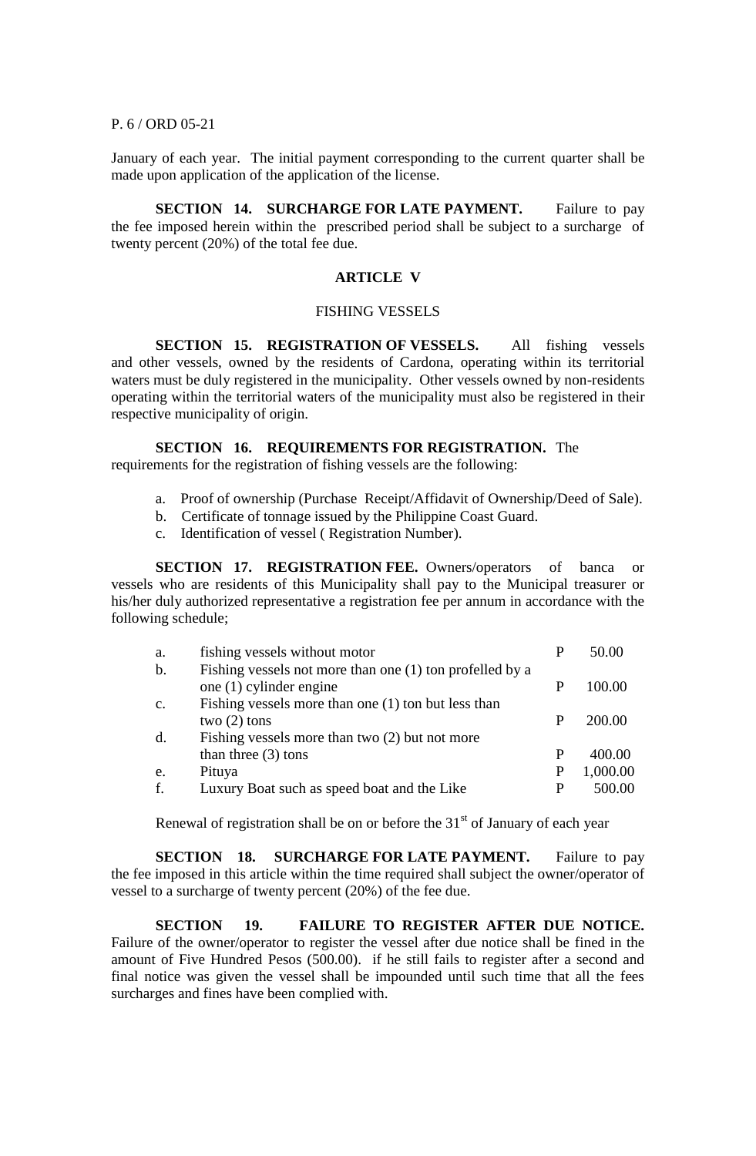### P. 6 / ORD 05-21

January of each year. The initial payment corresponding to the current quarter shall be made upon application of the application of the license.

**SECTION 14. SURCHARGE FOR LATE PAYMENT.** Failure to pay the fee imposed herein within the prescribed period shall be subject to a surcharge of twenty percent (20%) of the total fee due.

### **ARTICLE V**

#### FISHING VESSELS

**SECTION 15. REGISTRATION OF VESSELS.** All fishing vessels and other vessels, owned by the residents of Cardona, operating within its territorial waters must be duly registered in the municipality. Other vessels owned by non-residents operating within the territorial waters of the municipality must also be registered in their respective municipality of origin.

**SECTION 16. REQUIREMENTS FOR REGISTRATION.** The

requirements for the registration of fishing vessels are the following:

- a. Proof of ownership (Purchase Receipt/Affidavit of Ownership/Deed of Sale).
- b. Certificate of tonnage issued by the Philippine Coast Guard.
- c. Identification of vessel ( Registration Number).

**SECTION 17. REGISTRATION FEE.** Owners/operators of banca or vessels who are residents of this Municipality shall pay to the Municipal treasurer or his/her duly authorized representative a registration fee per annum in accordance with the following schedule;

| a.                  | fishing vessels without motor                                                                                             |   | 50.00    |
|---------------------|---------------------------------------------------------------------------------------------------------------------------|---|----------|
| $b$ .               | Fishing vessels not more than one (1) ton profelled by a<br>one $(1)$ cylinder engine                                     | P | 100.00   |
| $C_{\bullet}$<br>d. | Fishing vessels more than one (1) ton but less than<br>two $(2)$ tons<br>Fishing vessels more than two $(2)$ but not more | P | 200.00   |
|                     | than three $(3)$ tons                                                                                                     | P | 400.00   |
| e.                  | Pituya                                                                                                                    |   | 1,000.00 |
| f.                  | Luxury Boat such as speed boat and the Like                                                                               |   | 500.00   |

Renewal of registration shall be on or before the  $31<sup>st</sup>$  of January of each year

**SECTION 18. SURCHARGE FOR LATE PAYMENT.** Failure to pay the fee imposed in this article within the time required shall subject the owner/operator of vessel to a surcharge of twenty percent (20%) of the fee due.

**SECTION 19. FAILURE TO REGISTER AFTER DUE NOTICE.**  Failure of the owner/operator to register the vessel after due notice shall be fined in the amount of Five Hundred Pesos (500.00). if he still fails to register after a second and final notice was given the vessel shall be impounded until such time that all the fees surcharges and fines have been complied with.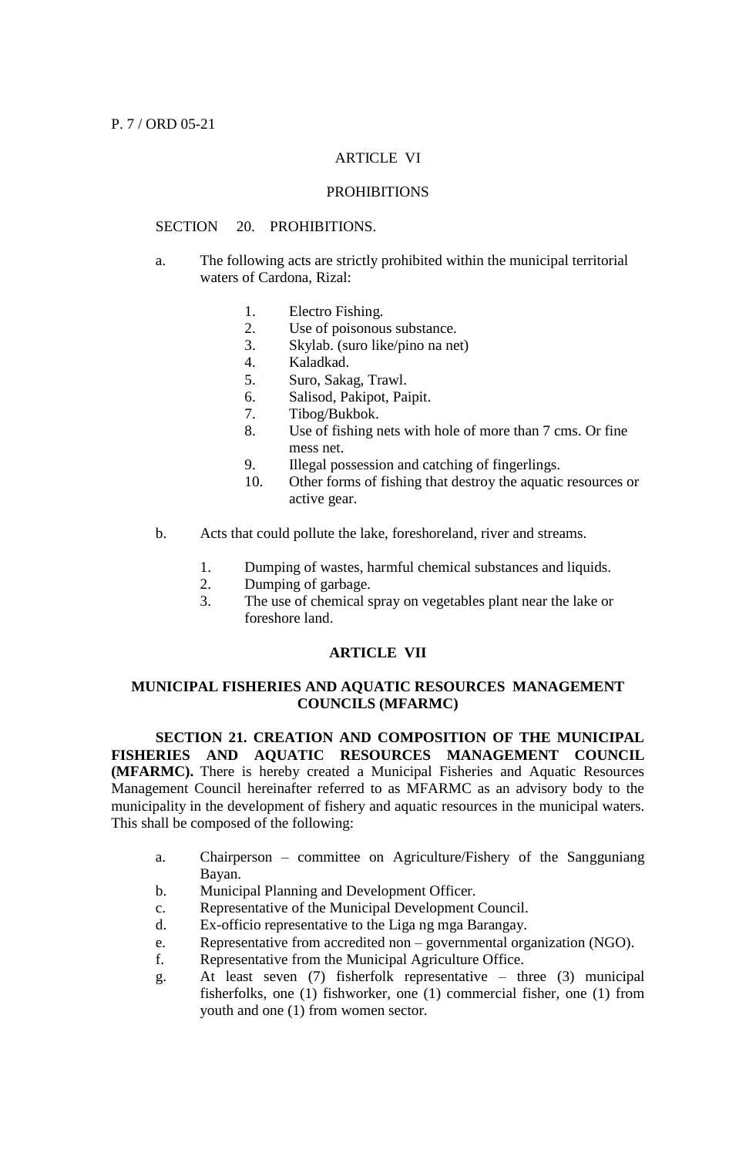### ARTICLE VI

# **PROHIBITIONS**

### SECTION 20. PROHIBITIONS.

- a. The following acts are strictly prohibited within the municipal territorial waters of Cardona, Rizal:
	- 1. Electro Fishing.
	- 2. Use of poisonous substance.
	- 3. Skylab. (suro like/pino na net)
	- 4. Kaladkad.
	- 5. Suro, Sakag, Trawl.
	- 6. Salisod, Pakipot, Paipit.
	- 7. Tibog/Bukbok.
	- 8. Use of fishing nets with hole of more than 7 cms. Or fine mess net.
	- 9. Illegal possession and catching of fingerlings.
	- 10. Other forms of fishing that destroy the aquatic resources or active gear.
- b. Acts that could pollute the lake, foreshoreland, river and streams.
	- 1. Dumping of wastes, harmful chemical substances and liquids.
	- 2. Dumping of garbage.
	- 3. The use of chemical spray on vegetables plant near the lake or foreshore land.

# **ARTICLE VII**

# **MUNICIPAL FISHERIES AND AQUATIC RESOURCES MANAGEMENT COUNCILS (MFARMC)**

**SECTION 21. CREATION AND COMPOSITION OF THE MUNICIPAL FISHERIES AND AQUATIC RESOURCES MANAGEMENT COUNCIL (MFARMC).** There is hereby created a Municipal Fisheries and Aquatic Resources Management Council hereinafter referred to as MFARMC as an advisory body to the municipality in the development of fishery and aquatic resources in the municipal waters. This shall be composed of the following:

- a. Chairperson committee on Agriculture/Fishery of the Sangguniang Bayan.
- b. Municipal Planning and Development Officer.
- c. Representative of the Municipal Development Council.
- d. Ex-officio representative to the Liga ng mga Barangay.
- e. Representative from accredited non governmental organization (NGO).
- f. Representative from the Municipal Agriculture Office.
- g. At least seven (7) fisherfolk representative three (3) municipal fisherfolks, one (1) fishworker, one (1) commercial fisher, one (1) from youth and one (1) from women sector.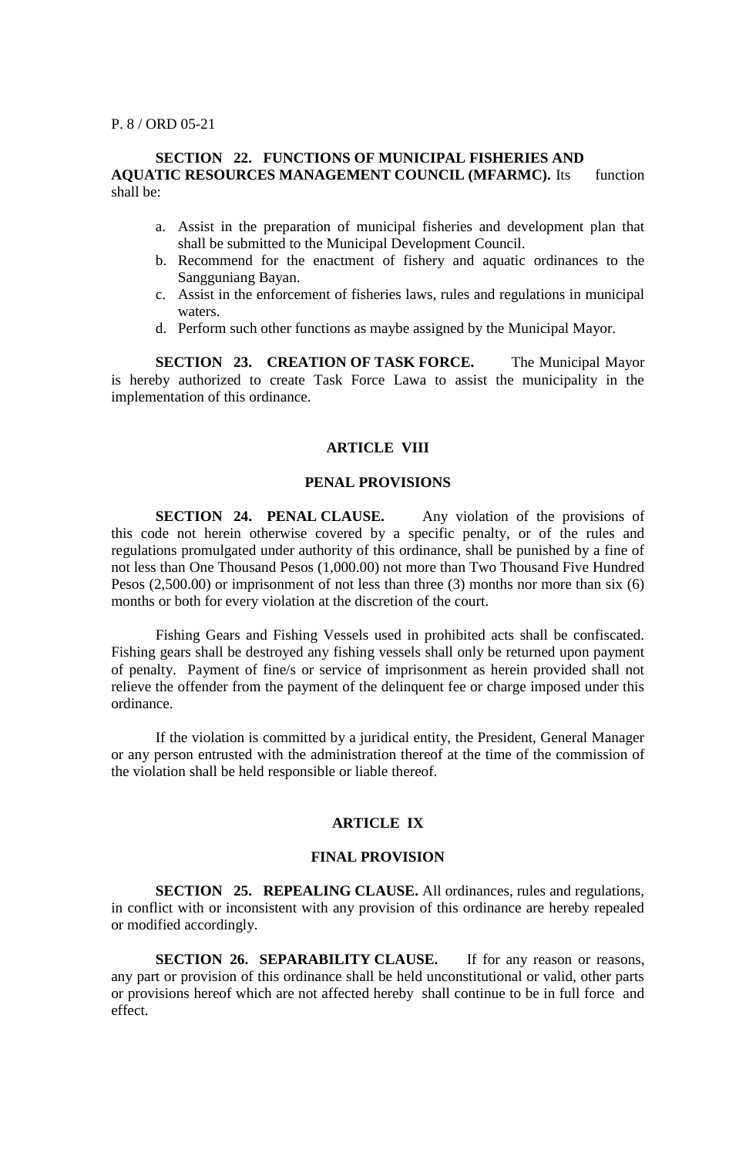P. 8 / ORD 05-21

# **SECTION 22. FUNCTIONS OF MUNICIPAL FISHERIES AND AQUATIC RESOURCES MANAGEMENT COUNCIL (MFARMC).** Its function shall be:

- a. Assist in the preparation of municipal fisheries and development plan that shall be submitted to the Municipal Development Council.
- b. Recommend for the enactment of fishery and aquatic ordinances to the Sangguniang Bayan.
- c. Assist in the enforcement of fisheries laws, rules and regulations in municipal waters.
- d. Perform such other functions as maybe assigned by the Municipal Mayor.

**SECTION 23. CREATION OF TASK FORCE.** The Municipal Mayor is hereby authorized to create Task Force Lawa to assist the municipality in the implementation of this ordinance.

### **ARTICLE VIII**

# **PENAL PROVISIONS**

**SECTION 24. PENAL CLAUSE.** Any violation of the provisions of this code not herein otherwise covered by a specific penalty, or of the rules and regulations promulgated under authority of this ordinance, shall be punished by a fine of not less than One Thousand Pesos (1,000.00) not more than Two Thousand Five Hundred Pesos (2,500.00) or imprisonment of not less than three (3) months nor more than six (6) months or both for every violation at the discretion of the court.

Fishing Gears and Fishing Vessels used in prohibited acts shall be confiscated. Fishing gears shall be destroyed any fishing vessels shall only be returned upon payment of penalty. Payment of fine/s or service of imprisonment as herein provided shall not relieve the offender from the payment of the delinquent fee or charge imposed under this ordinance.

If the violation is committed by a juridical entity, the President, General Manager or any person entrusted with the administration thereof at the time of the commission of the violation shall be held responsible or liable thereof.

# **ARTICLE IX**

## **FINAL PROVISION**

**SECTION 25. REPEALING CLAUSE.** All ordinances, rules and regulations, in conflict with or inconsistent with any provision of this ordinance are hereby repealed or modified accordingly.

**SECTION 26. SEPARABILITY CLAUSE.** If for any reason or reasons, any part or provision of this ordinance shall be held unconstitutional or valid, other parts or provisions hereof which are not affected hereby shall continue to be in full force and effect.